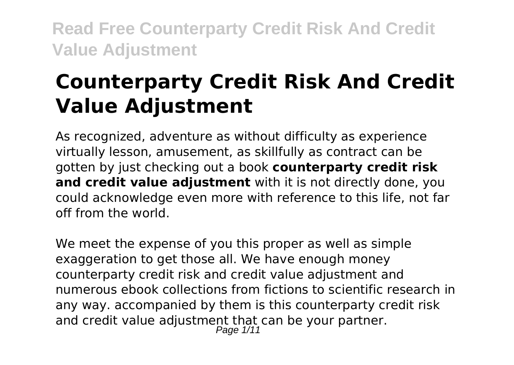# **Counterparty Credit Risk And Credit Value Adjustment**

As recognized, adventure as without difficulty as experience virtually lesson, amusement, as skillfully as contract can be gotten by just checking out a book **counterparty credit risk and credit value adjustment** with it is not directly done, you could acknowledge even more with reference to this life, not far off from the world.

We meet the expense of you this proper as well as simple exaggeration to get those all. We have enough money counterparty credit risk and credit value adjustment and numerous ebook collections from fictions to scientific research in any way. accompanied by them is this counterparty credit risk and credit value adjustment that can be your partner. Page 1/11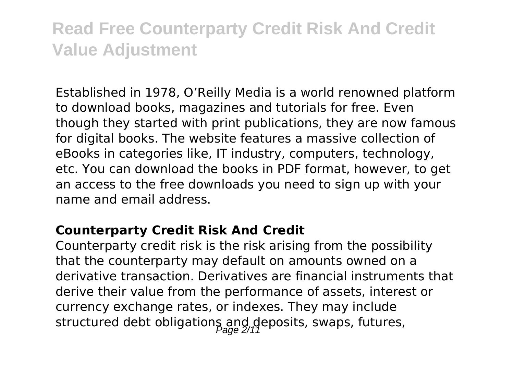Established in 1978, O'Reilly Media is a world renowned platform to download books, magazines and tutorials for free. Even though they started with print publications, they are now famous for digital books. The website features a massive collection of eBooks in categories like, IT industry, computers, technology, etc. You can download the books in PDF format, however, to get an access to the free downloads you need to sign up with your name and email address.

#### **Counterparty Credit Risk And Credit**

Counterparty credit risk is the risk arising from the possibility that the counterparty may default on amounts owned on a derivative transaction. Derivatives are financial instruments that derive their value from the performance of assets, interest or currency exchange rates, or indexes. They may include structured debt obligations and deposits, swaps, futures,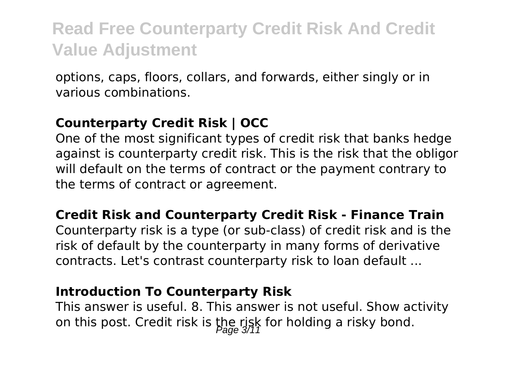options, caps, floors, collars, and forwards, either singly or in various combinations.

#### **Counterparty Credit Risk | OCC**

One of the most significant types of credit risk that banks hedge against is counterparty credit risk. This is the risk that the obligor will default on the terms of contract or the payment contrary to the terms of contract or agreement.

#### **Credit Risk and Counterparty Credit Risk - Finance Train**

Counterparty risk is a type (or sub-class) of credit risk and is the risk of default by the counterparty in many forms of derivative contracts. Let's contrast counterparty risk to loan default ...

#### **Introduction To Counterparty Risk**

This answer is useful. 8. This answer is not useful. Show activity on this post. Credit risk is the risk for holding a risky bond.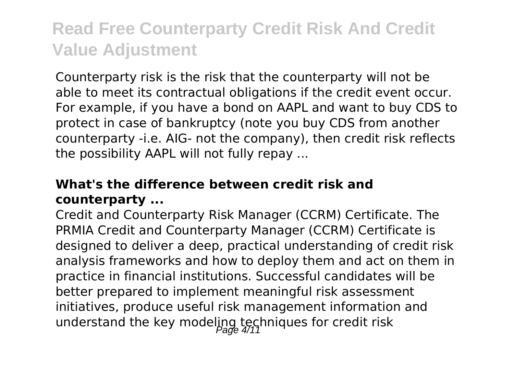Counterparty risk is the risk that the counterparty will not be able to meet its contractual obligations if the credit event occur. For example, if you have a bond on AAPL and want to buy CDS to protect in case of bankruptcy (note you buy CDS from another counterparty -i.e. AIG- not the company), then credit risk reflects the possibility AAPL will not fully repay ...

### **What's the difference between credit risk and counterparty ...**

Credit and Counterparty Risk Manager (CCRM) Certificate. The PRMIA Credit and Counterparty Manager (CCRM) Certificate is designed to deliver a deep, practical understanding of credit risk analysis frameworks and how to deploy them and act on them in practice in financial institutions. Successful candidates will be better prepared to implement meaningful risk assessment initiatives, produce useful risk management information and understand the key modeling techniques for credit risk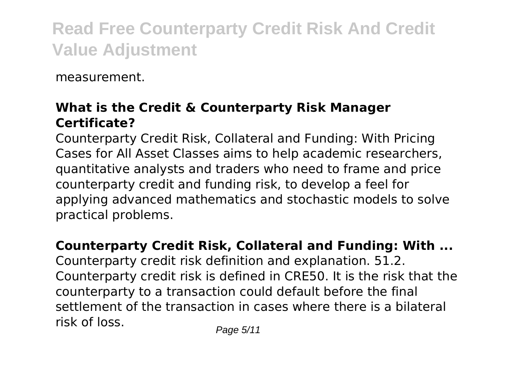measurement.

### **What is the Credit & Counterparty Risk Manager Certificate?**

Counterparty Credit Risk, Collateral and Funding: With Pricing Cases for All Asset Classes aims to help academic researchers, quantitative analysts and traders who need to frame and price counterparty credit and funding risk, to develop a feel for applying advanced mathematics and stochastic models to solve practical problems.

### **Counterparty Credit Risk, Collateral and Funding: With ...**

Counterparty credit risk definition and explanation. 51.2. Counterparty credit risk is defined in CRE50. It is the risk that the counterparty to a transaction could default before the final settlement of the transaction in cases where there is a bilateral risk of loss.<br>
Page 5/11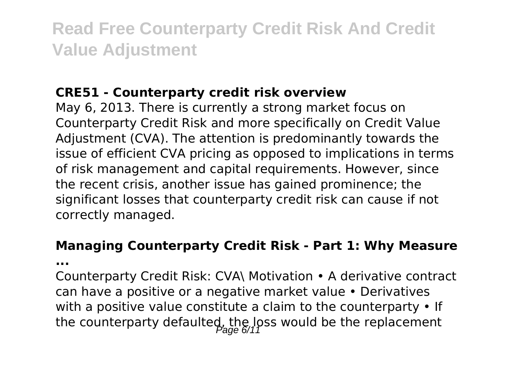#### **CRE51 - Counterparty credit risk overview**

May 6, 2013. There is currently a strong market focus on Counterparty Credit Risk and more specifically on Credit Value Adjustment (CVA). The attention is predominantly towards the issue of efficient CVA pricing as opposed to implications in terms of risk management and capital requirements. However, since the recent crisis, another issue has gained prominence; the significant losses that counterparty credit risk can cause if not correctly managed.

### **Managing Counterparty Credit Risk - Part 1: Why Measure**

**...**

Counterparty Credit Risk: CVA\ Motivation • A derivative contract can have a positive or a negative market value • Derivatives with a positive value constitute a claim to the counterparty • If the counterparty defaulted, the loss would be the replacement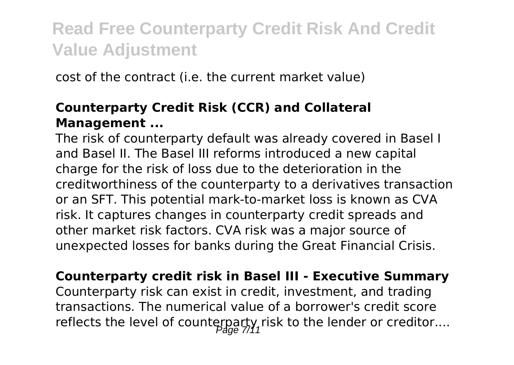cost of the contract (i.e. the current market value)

### **Counterparty Credit Risk (CCR) and Collateral Management ...**

The risk of counterparty default was already covered in Basel I and Basel II. The Basel III reforms introduced a new capital charge for the risk of loss due to the deterioration in the creditworthiness of the counterparty to a derivatives transaction or an SFT. This potential mark-to-market loss is known as CVA risk. It captures changes in counterparty credit spreads and other market risk factors. CVA risk was a major source of unexpected losses for banks during the Great Financial Crisis.

**Counterparty credit risk in Basel III - Executive Summary** Counterparty risk can exist in credit, investment, and trading transactions. The numerical value of a borrower's credit score reflects the level of counterparty, risk to the lender or creditor....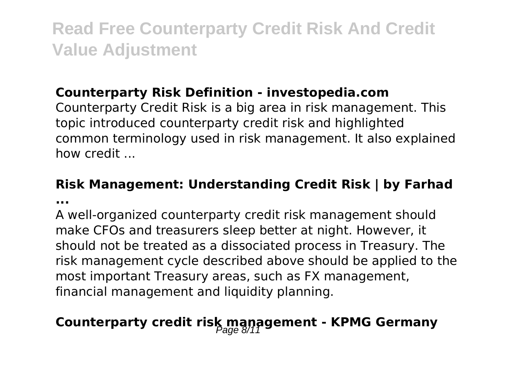### **Counterparty Risk Definition - investopedia.com**

Counterparty Credit Risk is a big area in risk management. This topic introduced counterparty credit risk and highlighted common terminology used in risk management. It also explained how credit ...

### **Risk Management: Understanding Credit Risk | by Farhad**

**...**

A well-organized counterparty credit risk management should make CFOs and treasurers sleep better at night. However, it should not be treated as a dissociated process in Treasury. The risk management cycle described above should be applied to the most important Treasury areas, such as FX management, financial management and liquidity planning.

# **Counterparty credit risk management - KPMG Germany**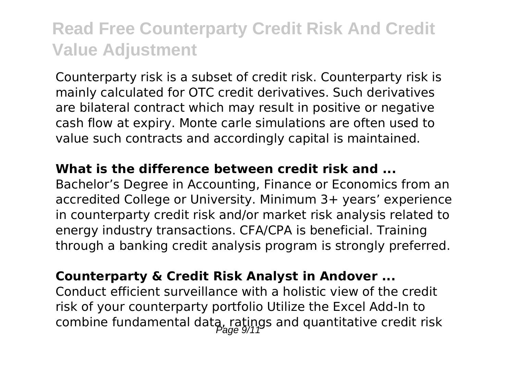Counterparty risk is a subset of credit risk. Counterparty risk is mainly calculated for OTC credit derivatives. Such derivatives are bilateral contract which may result in positive or negative cash flow at expiry. Monte carle simulations are often used to value such contracts and accordingly capital is maintained.

#### **What is the difference between credit risk and ...**

Bachelor's Degree in Accounting, Finance or Economics from an accredited College or University. Minimum 3+ years' experience in counterparty credit risk and/or market risk analysis related to energy industry transactions. CFA/CPA is beneficial. Training through a banking credit analysis program is strongly preferred.

#### **Counterparty & Credit Risk Analyst in Andover ...**

Conduct efficient surveillance with a holistic view of the credit risk of your counterparty portfolio Utilize the Excel Add-In to combine fundamental data, ratings and quantitative credit risk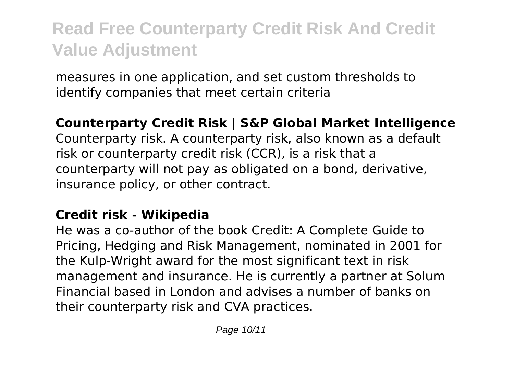measures in one application, and set custom thresholds to identify companies that meet certain criteria

#### **Counterparty Credit Risk | S&P Global Market Intelligence**

Counterparty risk. A counterparty risk, also known as a default risk or counterparty credit risk (CCR), is a risk that a counterparty will not pay as obligated on a bond, derivative, insurance policy, or other contract.

#### **Credit risk - Wikipedia**

He was a co-author of the book Credit: A Complete Guide to Pricing, Hedging and Risk Management, nominated in 2001 for the Kulp-Wright award for the most significant text in risk management and insurance. He is currently a partner at Solum Financial based in London and advises a number of banks on their counterparty risk and CVA practices.